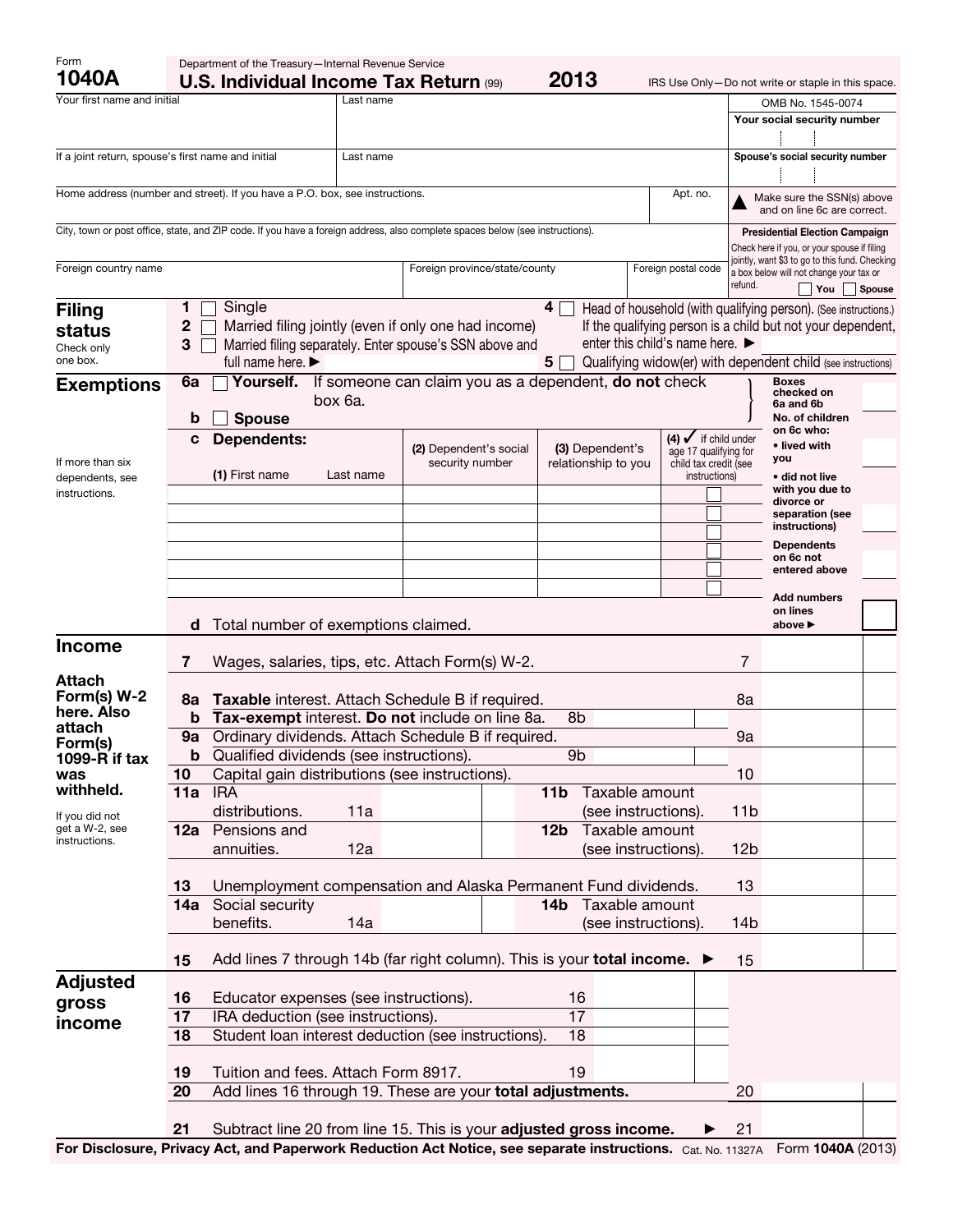| Form<br>1040A                                      |                                                                                                 | Department of the Treasury-Internal Revenue Service<br>2013<br><b>U.S. Individual Income Tax Return (99)</b><br>IRS Use Only-Do not write or staple in this space. |           |                                                                                                                                     |                                        |                     |                                                                                     |                                                                                               |                                                                 |        |
|----------------------------------------------------|-------------------------------------------------------------------------------------------------|--------------------------------------------------------------------------------------------------------------------------------------------------------------------|-----------|-------------------------------------------------------------------------------------------------------------------------------------|----------------------------------------|---------------------|-------------------------------------------------------------------------------------|-----------------------------------------------------------------------------------------------|-----------------------------------------------------------------|--------|
| Your first name and initial                        |                                                                                                 |                                                                                                                                                                    | Last name |                                                                                                                                     |                                        |                     |                                                                                     |                                                                                               | OMB No. 1545-0074                                               |        |
|                                                    |                                                                                                 |                                                                                                                                                                    |           |                                                                                                                                     |                                        |                     |                                                                                     |                                                                                               | Your social security number                                     |        |
| If a joint return, spouse's first name and initial |                                                                                                 |                                                                                                                                                                    | Last name |                                                                                                                                     |                                        |                     |                                                                                     |                                                                                               | Spouse's social security number                                 |        |
|                                                    |                                                                                                 |                                                                                                                                                                    |           |                                                                                                                                     |                                        |                     |                                                                                     |                                                                                               |                                                                 |        |
|                                                    |                                                                                                 | Home address (number and street). If you have a P.O. box, see instructions.                                                                                        |           |                                                                                                                                     |                                        | Apt. no.            |                                                                                     |                                                                                               | Make sure the SSN(s) above<br>and on line 6c are correct.       |        |
|                                                    |                                                                                                 |                                                                                                                                                                    |           | City, town or post office, state, and ZIP code. If you have a foreign address, also complete spaces below (see instructions).       |                                        |                     |                                                                                     |                                                                                               | <b>Presidential Election Campaign</b>                           |        |
|                                                    |                                                                                                 |                                                                                                                                                                    |           |                                                                                                                                     |                                        |                     |                                                                                     | Check here if you, or your spouse if filing<br>jointly, want \$3 to go to this fund. Checking |                                                                 |        |
| Foreign country name                               |                                                                                                 |                                                                                                                                                                    |           | Foreign province/state/county                                                                                                       |                                        | Foreign postal code |                                                                                     | refund.                                                                                       | a box below will not change your tax or<br>You                  | Spouse |
| <b>Filing</b>                                      | 1                                                                                               | Single                                                                                                                                                             |           |                                                                                                                                     | $4\Box$                                |                     |                                                                                     |                                                                                               | Head of household (with qualifying person). (See instructions.) |        |
| status                                             | $\mathbf 2$                                                                                     |                                                                                                                                                                    |           | Married filing jointly (even if only one had income)                                                                                |                                        |                     |                                                                                     |                                                                                               | If the qualifying person is a child but not your dependent,     |        |
| Check only                                         | enter this child's name here. ►<br>3<br>Married filing separately. Enter spouse's SSN above and |                                                                                                                                                                    |           |                                                                                                                                     |                                        |                     |                                                                                     |                                                                                               |                                                                 |        |
| one box.                                           |                                                                                                 | full name here.                                                                                                                                                    |           |                                                                                                                                     | 5                                      |                     |                                                                                     |                                                                                               | Qualifying widow(er) with dependent child (see instructions)    |        |
| <b>Exemptions</b>                                  | 6a                                                                                              | Yourself.<br>If someone can claim you as a dependent, do not check<br>box 6a.                                                                                      |           |                                                                                                                                     |                                        |                     |                                                                                     |                                                                                               | <b>Boxes</b><br>checked on<br>6a and 6b                         |        |
|                                                    | b                                                                                               | <b>Spouse</b>                                                                                                                                                      |           |                                                                                                                                     |                                        |                     |                                                                                     |                                                                                               | No. of children                                                 |        |
| If more than six                                   | c                                                                                               | <b>Dependents:</b>                                                                                                                                                 |           | (2) Dependent's social<br>security number                                                                                           | (3) Dependent's<br>relationship to you |                     | $(4)$ $\checkmark$ if child under<br>age 17 qualifying for<br>child tax credit (see |                                                                                               | on 6c who:<br>• lived with<br>you                               |        |
| dependents, see                                    |                                                                                                 | (1) First name                                                                                                                                                     | Last name |                                                                                                                                     |                                        |                     | instructions)                                                                       |                                                                                               | • did not live                                                  |        |
| instructions.                                      |                                                                                                 |                                                                                                                                                                    |           |                                                                                                                                     |                                        |                     |                                                                                     |                                                                                               | with you due to<br>divorce or                                   |        |
|                                                    |                                                                                                 |                                                                                                                                                                    |           |                                                                                                                                     |                                        |                     |                                                                                     |                                                                                               | separation (see<br>instructions)                                |        |
|                                                    |                                                                                                 |                                                                                                                                                                    |           |                                                                                                                                     |                                        |                     |                                                                                     |                                                                                               | <b>Dependents</b>                                               |        |
|                                                    |                                                                                                 |                                                                                                                                                                    |           |                                                                                                                                     |                                        |                     |                                                                                     |                                                                                               | on 6c not<br>entered above                                      |        |
|                                                    |                                                                                                 |                                                                                                                                                                    |           |                                                                                                                                     |                                        |                     |                                                                                     |                                                                                               | <b>Add numbers</b>                                              |        |
|                                                    | d                                                                                               |                                                                                                                                                                    |           |                                                                                                                                     |                                        |                     |                                                                                     |                                                                                               | on lines<br>above ▶                                             |        |
| <b>Income</b>                                      |                                                                                                 | Total number of exemptions claimed.                                                                                                                                |           |                                                                                                                                     |                                        |                     |                                                                                     |                                                                                               |                                                                 |        |
|                                                    | 7                                                                                               |                                                                                                                                                                    |           | Wages, salaries, tips, etc. Attach Form(s) W-2.                                                                                     |                                        |                     |                                                                                     | 7                                                                                             |                                                                 |        |
| Attach                                             |                                                                                                 |                                                                                                                                                                    |           |                                                                                                                                     |                                        |                     |                                                                                     |                                                                                               |                                                                 |        |
| Form(s) W-2<br>here. Also                          | 8a                                                                                              | Taxable interest. Attach Schedule B if required.                                                                                                                   |           |                                                                                                                                     |                                        |                     |                                                                                     | 8a                                                                                            |                                                                 |        |
| attach                                             | b                                                                                               |                                                                                                                                                                    |           | Tax-exempt interest. Do not include on line 8a.                                                                                     | 8b                                     |                     |                                                                                     |                                                                                               |                                                                 |        |
| Form(s)                                            | 9a                                                                                              |                                                                                                                                                                    |           | Ordinary dividends. Attach Schedule B if required.                                                                                  |                                        |                     |                                                                                     | 9a                                                                                            |                                                                 |        |
| 1099-R if tax<br>was                               | b<br>10                                                                                         | Qualified dividends (see instructions).<br>9 <sub>b</sub><br>Capital gain distributions (see instructions).                                                        |           |                                                                                                                                     |                                        |                     |                                                                                     | 10                                                                                            |                                                                 |        |
| withheld.                                          | 11a                                                                                             | <b>IRA</b>                                                                                                                                                         |           |                                                                                                                                     | Taxable amount<br>11 <sub>b</sub>      |                     |                                                                                     |                                                                                               |                                                                 |        |
| If you did not                                     |                                                                                                 | distributions.                                                                                                                                                     | 11a       |                                                                                                                                     | (see instructions).                    |                     |                                                                                     | 11 <sub>b</sub>                                                                               |                                                                 |        |
| get a W-2, see                                     | 12a                                                                                             | Pensions and                                                                                                                                                       |           |                                                                                                                                     | Taxable amount<br>12 <sub>b</sub>      |                     |                                                                                     |                                                                                               |                                                                 |        |
| instructions.                                      |                                                                                                 | annuities.                                                                                                                                                         | 12a       |                                                                                                                                     | (see instructions).                    |                     |                                                                                     | 12 <sub>b</sub>                                                                               |                                                                 |        |
|                                                    |                                                                                                 |                                                                                                                                                                    |           |                                                                                                                                     |                                        |                     |                                                                                     |                                                                                               |                                                                 |        |
|                                                    | 13                                                                                              |                                                                                                                                                                    |           | Unemployment compensation and Alaska Permanent Fund dividends.                                                                      | Taxable amount<br>14 <sub>b</sub>      |                     |                                                                                     | 13                                                                                            |                                                                 |        |
|                                                    | 14a                                                                                             | Social security<br>benefits.                                                                                                                                       | 14a       |                                                                                                                                     | (see instructions).                    |                     |                                                                                     | 14b                                                                                           |                                                                 |        |
|                                                    |                                                                                                 |                                                                                                                                                                    |           |                                                                                                                                     |                                        |                     |                                                                                     |                                                                                               |                                                                 |        |
|                                                    | 15                                                                                              |                                                                                                                                                                    |           | Add lines 7 through 14b (far right column). This is your total income. $\blacktriangleright$                                        |                                        |                     |                                                                                     | 15                                                                                            |                                                                 |        |
| <b>Adjusted</b>                                    |                                                                                                 |                                                                                                                                                                    |           |                                                                                                                                     |                                        |                     |                                                                                     |                                                                                               |                                                                 |        |
| gross                                              | 16                                                                                              | Educator expenses (see instructions).                                                                                                                              |           |                                                                                                                                     | 16                                     |                     |                                                                                     |                                                                                               |                                                                 |        |
| income                                             | 17                                                                                              | IRA deduction (see instructions).                                                                                                                                  |           |                                                                                                                                     | 17                                     |                     |                                                                                     |                                                                                               |                                                                 |        |
|                                                    | 18                                                                                              |                                                                                                                                                                    |           | Student loan interest deduction (see instructions).                                                                                 | 18                                     |                     |                                                                                     |                                                                                               |                                                                 |        |
|                                                    | 19                                                                                              | Tuition and fees. Attach Form 8917.                                                                                                                                |           |                                                                                                                                     | 19                                     |                     |                                                                                     |                                                                                               |                                                                 |        |
|                                                    | 20                                                                                              |                                                                                                                                                                    |           | Add lines 16 through 19. These are your total adjustments.                                                                          |                                        |                     |                                                                                     | 20                                                                                            |                                                                 |        |
|                                                    |                                                                                                 |                                                                                                                                                                    |           |                                                                                                                                     |                                        |                     |                                                                                     |                                                                                               |                                                                 |        |
|                                                    | 21                                                                                              |                                                                                                                                                                    |           | Subtract line 20 from line 15. This is your adjusted gross income.<br>and Donomicule Dedication Act Nation and conquete instruction |                                        |                     |                                                                                     | 21                                                                                            | $T_{\text{atm}}$ 40408 (0010)                                   |        |

For Disclosure, Privacy Act, and Paperwork Reduction Act Notice, see separate instructions. Cat. No. 11327A Form 1040A (2013)